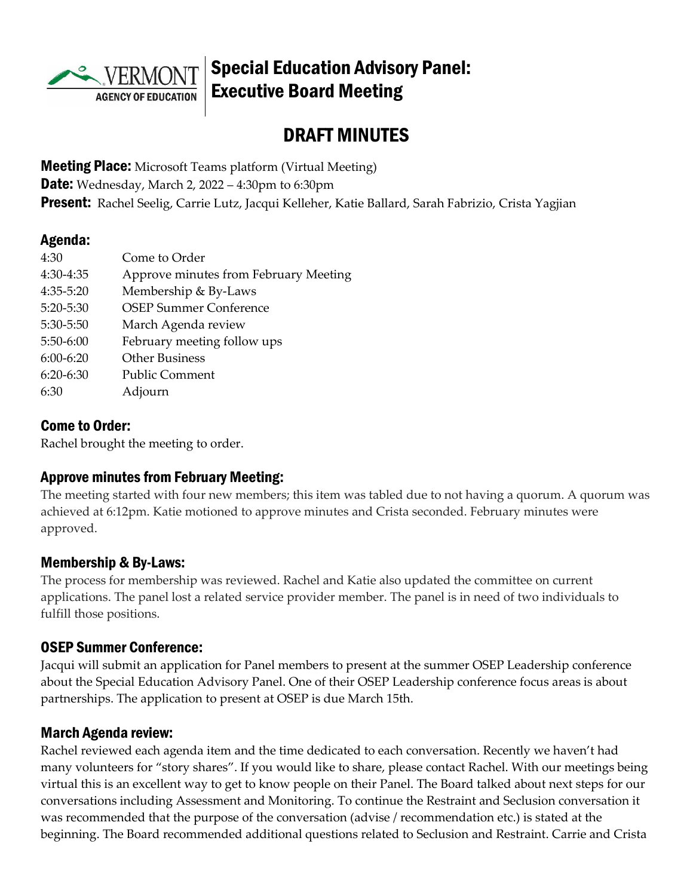

# Special Education Advisory Panel: Executive Board Meeting

# DRAFT MINUTES

**Meeting Place:** Microsoft Teams platform (Virtual Meeting) **Date:** Wednesday, March 2, 2022 – 4:30pm to 6:30pm Present: Rachel Seelig, Carrie Lutz, Jacqui Kelleher, Katie Ballard, Sarah Fabrizio, Crista Yagjian

#### Agenda:

| 4:30          | Come to Order                         |
|---------------|---------------------------------------|
| 4:30-4:35     | Approve minutes from February Meeting |
| 4:35-5:20     | Membership & By-Laws                  |
| $5:20 - 5:30$ | <b>OSEP Summer Conference</b>         |
| 5:30-5:50     | March Agenda review                   |
| $5:50-6:00$   | February meeting follow ups           |
| $6:00-6:20$   | <b>Other Business</b>                 |
| $6:20-6:30$   | <b>Public Comment</b>                 |
| 6:30          | Adjourn                               |

#### Come to Order:

Rachel brought the meeting to order.

### Approve minutes from February Meeting:

The meeting started with four new members; this item was tabled due to not having a quorum. A quorum was achieved at 6:12pm. Katie motioned to approve minutes and Crista seconded. February minutes were approved.

### Membership & By-Laws:

The process for membership was reviewed. Rachel and Katie also updated the committee on current applications. The panel lost a related service provider member. The panel is in need of two individuals to fulfill those positions.

#### OSEP Summer Conference:

Jacqui will submit an application for Panel members to present at the summer OSEP Leadership conference about the Special Education Advisory Panel. One of their OSEP Leadership conference focus areas is about partnerships. The application to present at OSEP is due March 15th.

### March Agenda review:

Rachel reviewed each agenda item and the time dedicated to each conversation. Recently we haven't had many volunteers for "story shares". If you would like to share, please contact Rachel. With our meetings being virtual this is an excellent way to get to know people on their Panel. The Board talked about next steps for our conversations including Assessment and Monitoring. To continue the Restraint and Seclusion conversation it was recommended that the purpose of the conversation (advise / recommendation etc.) is stated at the beginning. The Board recommended additional questions related to Seclusion and Restraint. Carrie and Crista